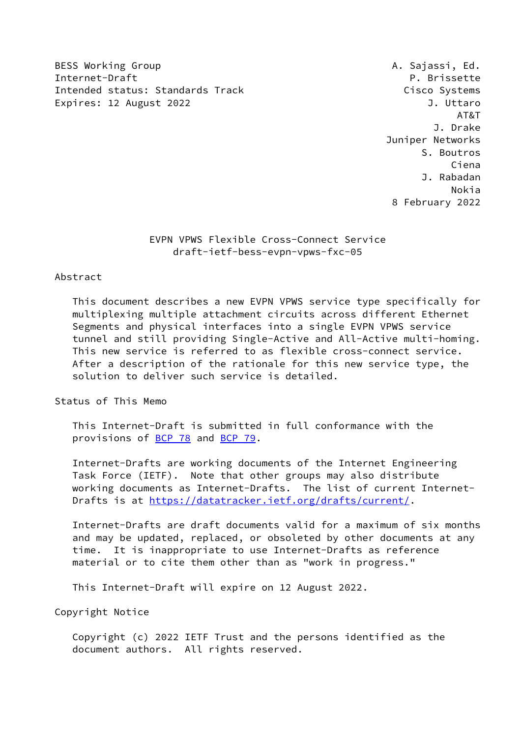BESS Working Group **A. Sajassi, Ed.** Internet-Draft P. Brissette Intended status: Standards Track Cisco Systems Expires: 12 August 2022 **J. Uttaro** 

 AT&T J. Drake Juniper Networks S. Boutros Ciena J. Rabadan Nokia 8 February 2022

> EVPN VPWS Flexible Cross-Connect Service draft-ietf-bess-evpn-vpws-fxc-05

### Abstract

 This document describes a new EVPN VPWS service type specifically for multiplexing multiple attachment circuits across different Ethernet Segments and physical interfaces into a single EVPN VPWS service tunnel and still providing Single-Active and All-Active multi-homing. This new service is referred to as flexible cross-connect service. After a description of the rationale for this new service type, the solution to deliver such service is detailed.

Status of This Memo

 This Internet-Draft is submitted in full conformance with the provisions of [BCP 78](https://datatracker.ietf.org/doc/pdf/bcp78) and [BCP 79](https://datatracker.ietf.org/doc/pdf/bcp79).

 Internet-Drafts are working documents of the Internet Engineering Task Force (IETF). Note that other groups may also distribute working documents as Internet-Drafts. The list of current Internet- Drafts is at<https://datatracker.ietf.org/drafts/current/>.

 Internet-Drafts are draft documents valid for a maximum of six months and may be updated, replaced, or obsoleted by other documents at any time. It is inappropriate to use Internet-Drafts as reference material or to cite them other than as "work in progress."

This Internet-Draft will expire on 12 August 2022.

Copyright Notice

 Copyright (c) 2022 IETF Trust and the persons identified as the document authors. All rights reserved.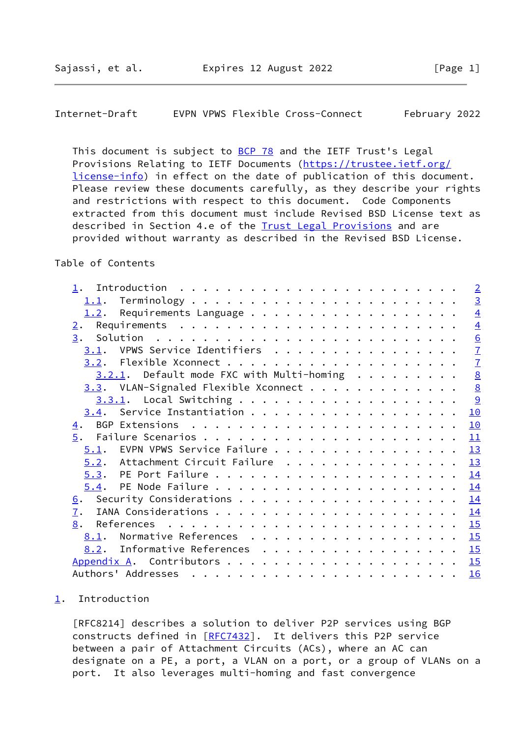<span id="page-1-1"></span>Internet-Draft EVPN VPWS Flexible Cross-Connect February 2022

This document is subject to [BCP 78](https://datatracker.ietf.org/doc/pdf/bcp78) and the IETF Trust's Legal Provisions Relating to IETF Documents ([https://trustee.ietf.org/](https://trustee.ietf.org/license-info) [license-info](https://trustee.ietf.org/license-info)) in effect on the date of publication of this document. Please review these documents carefully, as they describe your rights and restrictions with respect to this document. Code Components extracted from this document must include Revised BSD License text as described in Section 4.e of the **Trust Legal Provisions** and are provided without warranty as described in the Revised BSD License.

# Table of Contents

|                                              | $\overline{2}$ |
|----------------------------------------------|----------------|
| 1.1.                                         | $\overline{3}$ |
| 1.2. Requirements Language                   | $\overline{4}$ |
| $\overline{2}$ .                             | $\overline{4}$ |
| 3.                                           | 6              |
| 3.1. VPWS Service Identifiers                | $\overline{1}$ |
|                                              | $\overline{1}$ |
| $3.2.1$ . Default mode FXC with Multi-homing | $\frac{8}{8}$  |
| $3.3.$ VLAN-Signaled Flexible Xconnect       |                |
|                                              | $\overline{9}$ |
|                                              | 10             |
| 4.                                           | 10             |
| 5.                                           | 11             |
| 5.1. EVPN VPWS Service Failure               | 13             |
| 5.2. Attachment Circuit Failure              | 13             |
|                                              | 14             |
|                                              | 14             |
| <u>6</u> .                                   | 14             |
| 7.                                           | 14             |
| 8.                                           | 15             |
| Normative References<br>8.1.                 | 15             |
| 8.2. Informative References 15               |                |
| Appendix A.                                  |                |
| Authors' Addresses                           | 16             |

#### <span id="page-1-0"></span>[1](#page-1-0). Introduction

 [RFC8214] describes a solution to deliver P2P services using BGP constructs defined in [[RFC7432](https://datatracker.ietf.org/doc/pdf/rfc7432)]. It delivers this P2P service between a pair of Attachment Circuits (ACs), where an AC can designate on a PE, a port, a VLAN on a port, or a group of VLANs on a port. It also leverages multi-homing and fast convergence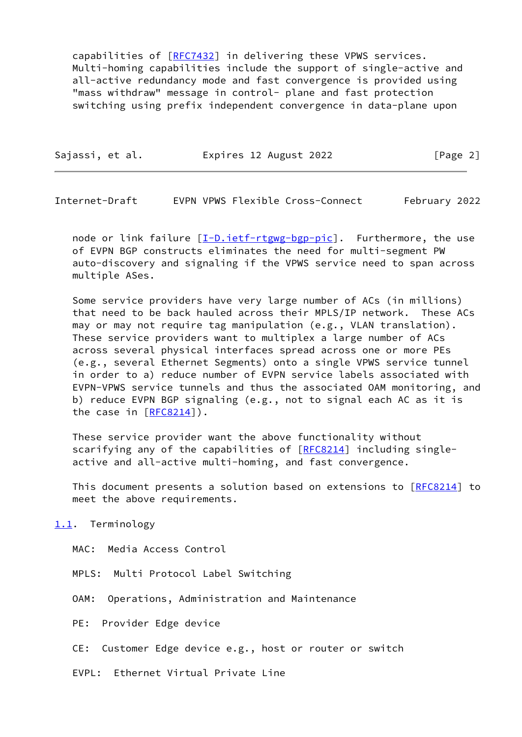capabilities of [\[RFC7432](https://datatracker.ietf.org/doc/pdf/rfc7432)] in delivering these VPWS services. Multi-homing capabilities include the support of single-active and all-active redundancy mode and fast convergence is provided using "mass withdraw" message in control- plane and fast protection switching using prefix independent convergence in data-plane upon

| Sajassi, et al. | Expires 12 August 2022 | [Page 2] |
|-----------------|------------------------|----------|
|-----------------|------------------------|----------|

<span id="page-2-1"></span>Internet-Draft EVPN VPWS Flexible Cross-Connect February 2022

node or link failure  $[\underline{I-D.iett-rtgwg-bgp-pic}]$ . Furthermore, the use of EVPN BGP constructs eliminates the need for multi-segment PW auto-discovery and signaling if the VPWS service need to span across multiple ASes.

 Some service providers have very large number of ACs (in millions) that need to be back hauled across their MPLS/IP network. These ACs may or may not require tag manipulation (e.g., VLAN translation). These service providers want to multiplex a large number of ACs across several physical interfaces spread across one or more PEs (e.g., several Ethernet Segments) onto a single VPWS service tunnel in order to a) reduce number of EVPN service labels associated with EVPN-VPWS service tunnels and thus the associated OAM monitoring, and b) reduce EVPN BGP signaling (e.g., not to signal each AC as it is the case in [\[RFC8214](https://datatracker.ietf.org/doc/pdf/rfc8214)]).

 These service provider want the above functionality without scarifying any of the capabilities of [[RFC8214](https://datatracker.ietf.org/doc/pdf/rfc8214)] including singleactive and all-active multi-homing, and fast convergence.

This document presents a solution based on extensions to [\[RFC8214](https://datatracker.ietf.org/doc/pdf/rfc8214)] to meet the above requirements.

<span id="page-2-0"></span>[1.1](#page-2-0). Terminology

MAC: Media Access Control

MPLS: Multi Protocol Label Switching

OAM: Operations, Administration and Maintenance

PE: Provider Edge device

CE: Customer Edge device e.g., host or router or switch

EVPL: Ethernet Virtual Private Line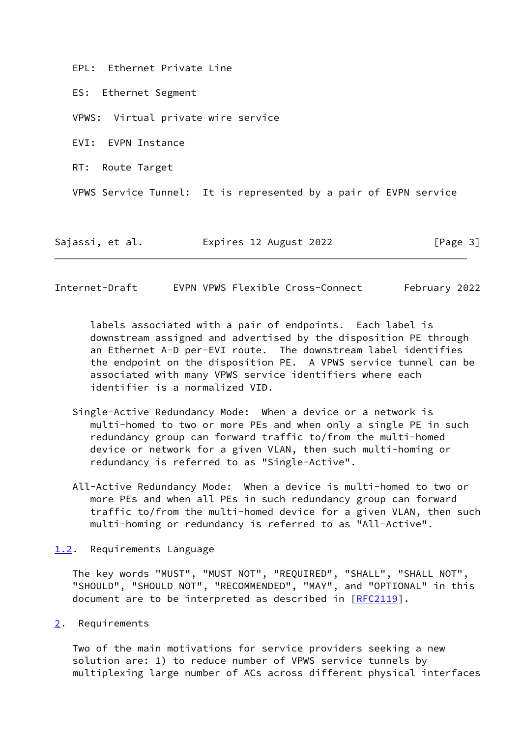EPL: Ethernet Private Line

ES: Ethernet Segment

VPWS: Virtual private wire service

EVI: EVPN Instance

RT: Route Target

VPWS Service Tunnel: It is represented by a pair of EVPN service

Sajassi, et al. Expires 12 August 2022 [Page 3]

<span id="page-3-1"></span>Internet-Draft EVPN VPWS Flexible Cross-Connect February 2022

 labels associated with a pair of endpoints. Each label is downstream assigned and advertised by the disposition PE through an Ethernet A-D per-EVI route. The downstream label identifies the endpoint on the disposition PE. A VPWS service tunnel can be associated with many VPWS service identifiers where each identifier is a normalized VID.

- Single-Active Redundancy Mode: When a device or a network is multi-homed to two or more PEs and when only a single PE in such redundancy group can forward traffic to/from the multi-homed device or network for a given VLAN, then such multi-homing or redundancy is referred to as "Single-Active".
- All-Active Redundancy Mode: When a device is multi-homed to two or more PEs and when all PEs in such redundancy group can forward traffic to/from the multi-homed device for a given VLAN, then such multi-homing or redundancy is referred to as "All-Active".

#### <span id="page-3-0"></span>[1.2](#page-3-0). Requirements Language

 The key words "MUST", "MUST NOT", "REQUIRED", "SHALL", "SHALL NOT", "SHOULD", "SHOULD NOT", "RECOMMENDED", "MAY", and "OPTIONAL" in this document are to be interpreted as described in [\[RFC2119](https://datatracker.ietf.org/doc/pdf/rfc2119)].

#### <span id="page-3-2"></span>[2](#page-3-2). Requirements

 Two of the main motivations for service providers seeking a new solution are: 1) to reduce number of VPWS service tunnels by multiplexing large number of ACs across different physical interfaces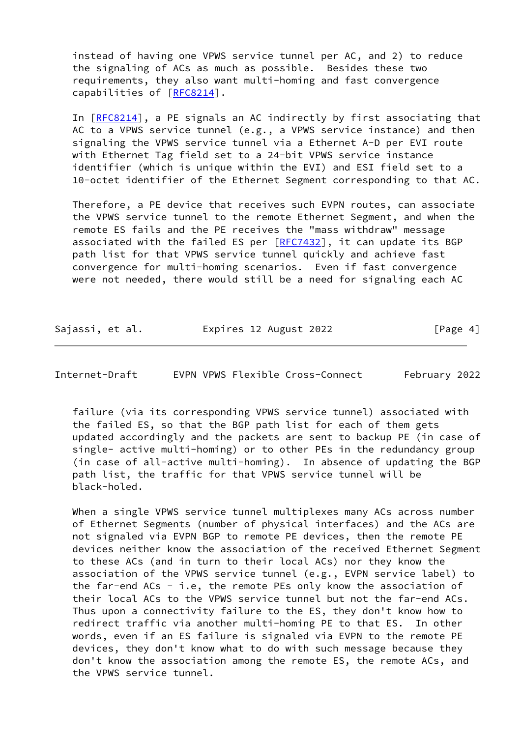instead of having one VPWS service tunnel per AC, and 2) to reduce the signaling of ACs as much as possible. Besides these two requirements, they also want multi-homing and fast convergence capabilities of [\[RFC8214](https://datatracker.ietf.org/doc/pdf/rfc8214)].

 In [[RFC8214\]](https://datatracker.ietf.org/doc/pdf/rfc8214), a PE signals an AC indirectly by first associating that AC to a VPWS service tunnel (e.g., a VPWS service instance) and then signaling the VPWS service tunnel via a Ethernet A-D per EVI route with Ethernet Tag field set to a 24-bit VPWS service instance identifier (which is unique within the EVI) and ESI field set to a 10-octet identifier of the Ethernet Segment corresponding to that AC.

 Therefore, a PE device that receives such EVPN routes, can associate the VPWS service tunnel to the remote Ethernet Segment, and when the remote ES fails and the PE receives the "mass withdraw" message associated with the failed ES per [[RFC7432](https://datatracker.ietf.org/doc/pdf/rfc7432)], it can update its BGP path list for that VPWS service tunnel quickly and achieve fast convergence for multi-homing scenarios. Even if fast convergence were not needed, there would still be a need for signaling each AC

| Sajassi, et al. | Expires 12 August 2022 | [Page 4] |
|-----------------|------------------------|----------|
|                 |                        |          |

Internet-Draft EVPN VPWS Flexible Cross-Connect February 2022

 failure (via its corresponding VPWS service tunnel) associated with the failed ES, so that the BGP path list for each of them gets updated accordingly and the packets are sent to backup PE (in case of single- active multi-homing) or to other PEs in the redundancy group (in case of all-active multi-homing). In absence of updating the BGP path list, the traffic for that VPWS service tunnel will be black-holed.

 When a single VPWS service tunnel multiplexes many ACs across number of Ethernet Segments (number of physical interfaces) and the ACs are not signaled via EVPN BGP to remote PE devices, then the remote PE devices neither know the association of the received Ethernet Segment to these ACs (and in turn to their local ACs) nor they know the association of the VPWS service tunnel (e.g., EVPN service label) to the far-end ACs - i.e, the remote PEs only know the association of their local ACs to the VPWS service tunnel but not the far-end ACs. Thus upon a connectivity failure to the ES, they don't know how to redirect traffic via another multi-homing PE to that ES. In other words, even if an ES failure is signaled via EVPN to the remote PE devices, they don't know what to do with such message because they don't know the association among the remote ES, the remote ACs, and the VPWS service tunnel.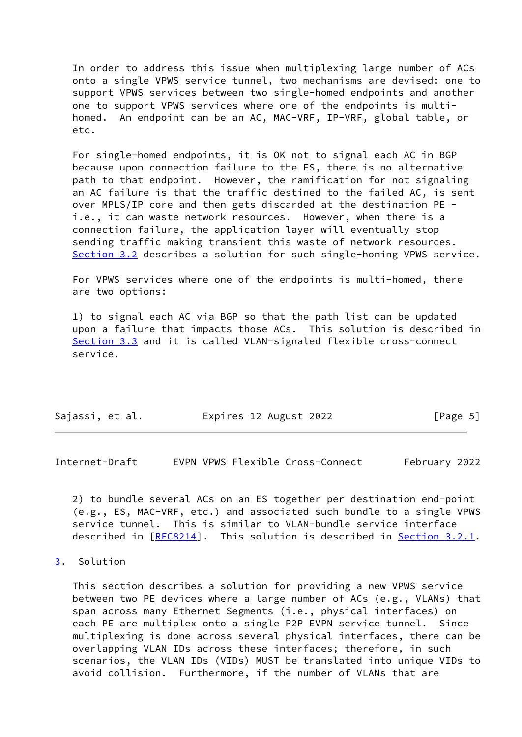In order to address this issue when multiplexing large number of ACs onto a single VPWS service tunnel, two mechanisms are devised: one to support VPWS services between two single-homed endpoints and another one to support VPWS services where one of the endpoints is multi homed. An endpoint can be an AC, MAC-VRF, IP-VRF, global table, or etc.

 For single-homed endpoints, it is OK not to signal each AC in BGP because upon connection failure to the ES, there is no alternative path to that endpoint. However, the ramification for not signaling an AC failure is that the traffic destined to the failed AC, is sent over MPLS/IP core and then gets discarded at the destination PE i.e., it can waste network resources. However, when there is a connection failure, the application layer will eventually stop sending traffic making transient this waste of network resources. [Section 3.2](#page-7-0) describes a solution for such single-homing VPWS service.

 For VPWS services where one of the endpoints is multi-homed, there are two options:

 1) to signal each AC via BGP so that the path list can be updated upon a failure that impacts those ACs. This solution is described in [Section 3.3](#page-8-1) and it is called VLAN-signaled flexible cross-connect service.

|  | Sajassi, et al. | Expires 12 August 2022 | [Page 5] |
|--|-----------------|------------------------|----------|
|--|-----------------|------------------------|----------|

<span id="page-5-1"></span>Internet-Draft EVPN VPWS Flexible Cross-Connect February 2022

 2) to bundle several ACs on an ES together per destination end-point (e.g., ES, MAC-VRF, etc.) and associated such bundle to a single VPWS service tunnel. This is similar to VLAN-bundle service interface described in [\[RFC8214](https://datatracker.ietf.org/doc/pdf/rfc8214)]. This solution is described in [Section 3.2.1.](#page-8-0)

# <span id="page-5-0"></span>[3](#page-5-0). Solution

 This section describes a solution for providing a new VPWS service between two PE devices where a large number of ACs (e.g., VLANs) that span across many Ethernet Segments (i.e., physical interfaces) on each PE are multiplex onto a single P2P EVPN service tunnel. Since multiplexing is done across several physical interfaces, there can be overlapping VLAN IDs across these interfaces; therefore, in such scenarios, the VLAN IDs (VIDs) MUST be translated into unique VIDs to avoid collision. Furthermore, if the number of VLANs that are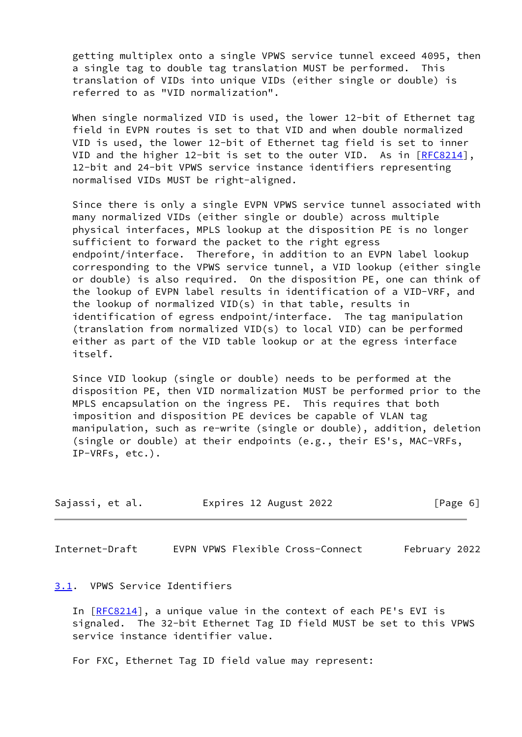getting multiplex onto a single VPWS service tunnel exceed 4095, then a single tag to double tag translation MUST be performed. This translation of VIDs into unique VIDs (either single or double) is referred to as "VID normalization".

When single normalized VID is used, the lower 12-bit of Ethernet tag field in EVPN routes is set to that VID and when double normalized VID is used, the lower 12-bit of Ethernet tag field is set to inner VID and the higher 12-bit is set to the outer VID. As in  $[RECS214]$ , 12-bit and 24-bit VPWS service instance identifiers representing normalised VIDs MUST be right-aligned.

 Since there is only a single EVPN VPWS service tunnel associated with many normalized VIDs (either single or double) across multiple physical interfaces, MPLS lookup at the disposition PE is no longer sufficient to forward the packet to the right egress endpoint/interface. Therefore, in addition to an EVPN label lookup corresponding to the VPWS service tunnel, a VID lookup (either single or double) is also required. On the disposition PE, one can think of the lookup of EVPN label results in identification of a VID-VRF, and the lookup of normalized VID(s) in that table, results in identification of egress endpoint/interface. The tag manipulation (translation from normalized VID(s) to local VID) can be performed either as part of the VID table lookup or at the egress interface itself.

 Since VID lookup (single or double) needs to be performed at the disposition PE, then VID normalization MUST be performed prior to the MPLS encapsulation on the ingress PE. This requires that both imposition and disposition PE devices be capable of VLAN tag manipulation, such as re-write (single or double), addition, deletion (single or double) at their endpoints (e.g., their ES's, MAC-VRFs, IP-VRFs, etc.).

| Sajassi, et al. | Expires 12 August 2022 | [Page 6] |
|-----------------|------------------------|----------|
|-----------------|------------------------|----------|

<span id="page-6-1"></span>Internet-Draft EVPN VPWS Flexible Cross-Connect February 2022

#### <span id="page-6-0"></span>[3.1](#page-6-0). VPWS Service Identifiers

 In [[RFC8214\]](https://datatracker.ietf.org/doc/pdf/rfc8214), a unique value in the context of each PE's EVI is signaled. The 32-bit Ethernet Tag ID field MUST be set to this VPWS service instance identifier value.

For FXC, Ethernet Tag ID field value may represent: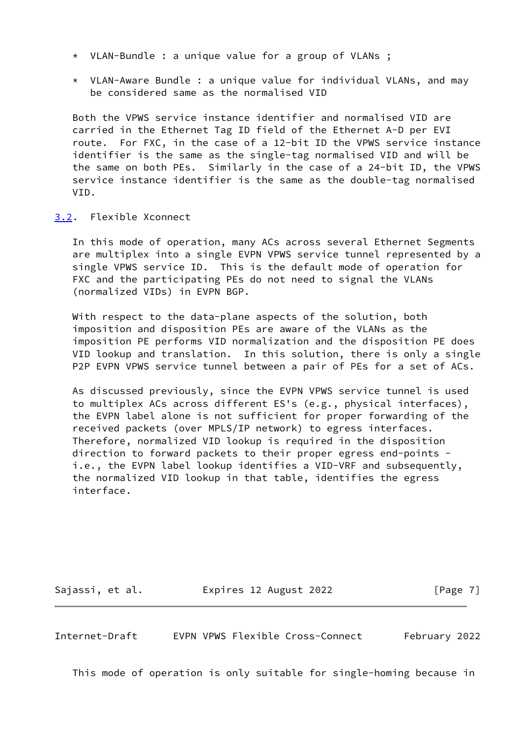- \* VLAN-Bundle : a unique value for a group of VLANs ;
- \* VLAN-Aware Bundle : a unique value for individual VLANs, and may be considered same as the normalised VID

 Both the VPWS service instance identifier and normalised VID are carried in the Ethernet Tag ID field of the Ethernet A-D per EVI route. For FXC, in the case of a 12-bit ID the VPWS service instance identifier is the same as the single-tag normalised VID and will be the same on both PEs. Similarly in the case of a 24-bit ID, the VPWS service instance identifier is the same as the double-tag normalised VID.

#### <span id="page-7-0"></span>[3.2](#page-7-0). Flexible Xconnect

 In this mode of operation, many ACs across several Ethernet Segments are multiplex into a single EVPN VPWS service tunnel represented by a single VPWS service ID. This is the default mode of operation for FXC and the participating PEs do not need to signal the VLANs (normalized VIDs) in EVPN BGP.

 With respect to the data-plane aspects of the solution, both imposition and disposition PEs are aware of the VLANs as the imposition PE performs VID normalization and the disposition PE does VID lookup and translation. In this solution, there is only a single P2P EVPN VPWS service tunnel between a pair of PEs for a set of ACs.

 As discussed previously, since the EVPN VPWS service tunnel is used to multiplex ACs across different ES's (e.g., physical interfaces), the EVPN label alone is not sufficient for proper forwarding of the received packets (over MPLS/IP network) to egress interfaces. Therefore, normalized VID lookup is required in the disposition direction to forward packets to their proper egress end-points i.e., the EVPN label lookup identifies a VID-VRF and subsequently, the normalized VID lookup in that table, identifies the egress interface.

Sajassi, et al. 
Expires 12 August 2022
[Page 7]

<span id="page-7-1"></span>Internet-Draft EVPN VPWS Flexible Cross-Connect February 2022

This mode of operation is only suitable for single-homing because in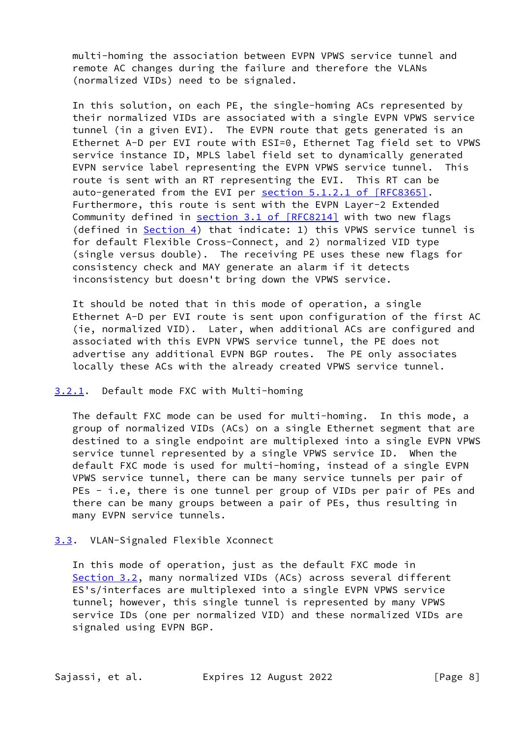multi-homing the association between EVPN VPWS service tunnel and remote AC changes during the failure and therefore the VLANs (normalized VIDs) need to be signaled.

 In this solution, on each PE, the single-homing ACs represented by their normalized VIDs are associated with a single EVPN VPWS service tunnel (in a given EVI). The EVPN route that gets generated is an Ethernet A-D per EVI route with ESI=0, Ethernet Tag field set to VPWS service instance ID, MPLS label field set to dynamically generated EVPN service label representing the EVPN VPWS service tunnel. This route is sent with an RT representing the EVI. This RT can be auto-generated from the EVI per section [5.1.2.1 of \[RFC8365\]](https://datatracker.ietf.org/doc/pdf/rfc8365#section-5.1.2.1). Furthermore, this route is sent with the EVPN Layer-2 Extended Community defined in section [3.1 of \[RFC8214\]](https://datatracker.ietf.org/doc/pdf/rfc8214#section-3.1) with two new flags (defined in  $Section 4$ ) that indicate: 1) this VPWS service tunnel is for default Flexible Cross-Connect, and 2) normalized VID type (single versus double). The receiving PE uses these new flags for consistency check and MAY generate an alarm if it detects inconsistency but doesn't bring down the VPWS service.

 It should be noted that in this mode of operation, a single Ethernet A-D per EVI route is sent upon configuration of the first AC (ie, normalized VID). Later, when additional ACs are configured and associated with this EVPN VPWS service tunnel, the PE does not advertise any additional EVPN BGP routes. The PE only associates locally these ACs with the already created VPWS service tunnel.

#### <span id="page-8-0"></span>[3.2.1](#page-8-0). Default mode FXC with Multi-homing

 The default FXC mode can be used for multi-homing. In this mode, a group of normalized VIDs (ACs) on a single Ethernet segment that are destined to a single endpoint are multiplexed into a single EVPN VPWS service tunnel represented by a single VPWS service ID. When the default FXC mode is used for multi-homing, instead of a single EVPN VPWS service tunnel, there can be many service tunnels per pair of PEs - i.e, there is one tunnel per group of VIDs per pair of PEs and there can be many groups between a pair of PEs, thus resulting in many EVPN service tunnels.

<span id="page-8-1"></span>[3.3](#page-8-1). VLAN-Signaled Flexible Xconnect

 In this mode of operation, just as the default FXC mode in [Section 3.2](#page-7-0), many normalized VIDs (ACs) across several different ES's/interfaces are multiplexed into a single EVPN VPWS service tunnel; however, this single tunnel is represented by many VPWS service IDs (one per normalized VID) and these normalized VIDs are signaled using EVPN BGP.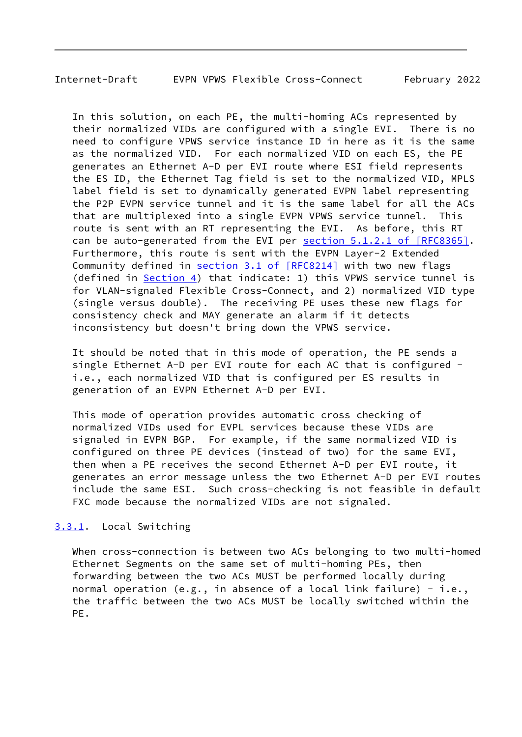# <span id="page-9-1"></span>Internet-Draft EVPN VPWS Flexible Cross-Connect February 2022

 In this solution, on each PE, the multi-homing ACs represented by their normalized VIDs are configured with a single EVI. There is no need to configure VPWS service instance ID in here as it is the same as the normalized VID. For each normalized VID on each ES, the PE generates an Ethernet A-D per EVI route where ESI field represents the ES ID, the Ethernet Tag field is set to the normalized VID, MPLS label field is set to dynamically generated EVPN label representing the P2P EVPN service tunnel and it is the same label for all the ACs that are multiplexed into a single EVPN VPWS service tunnel. This route is sent with an RT representing the EVI. As before, this RT can be auto-generated from the EVI per section [5.1.2.1 of \[RFC8365\].](https://datatracker.ietf.org/doc/pdf/rfc8365#section-5.1.2.1) Furthermore, this route is sent with the EVPN Layer-2 Extended Community defined in section [3.1 of \[RFC8214\]](https://datatracker.ietf.org/doc/pdf/rfc8214#section-3.1) with two new flags (defined in  $Section 4$ ) that indicate: 1) this VPWS service tunnel is for VLAN-signaled Flexible Cross-Connect, and 2) normalized VID type (single versus double). The receiving PE uses these new flags for consistency check and MAY generate an alarm if it detects inconsistency but doesn't bring down the VPWS service.

 It should be noted that in this mode of operation, the PE sends a single Ethernet A-D per EVI route for each AC that is configured i.e., each normalized VID that is configured per ES results in generation of an EVPN Ethernet A-D per EVI.

 This mode of operation provides automatic cross checking of normalized VIDs used for EVPL services because these VIDs are signaled in EVPN BGP. For example, if the same normalized VID is configured on three PE devices (instead of two) for the same EVI, then when a PE receives the second Ethernet A-D per EVI route, it generates an error message unless the two Ethernet A-D per EVI routes include the same ESI. Such cross-checking is not feasible in default FXC mode because the normalized VIDs are not signaled.

# <span id="page-9-0"></span>[3.3.1](#page-9-0). Local Switching

 When cross-connection is between two ACs belonging to two multi-homed Ethernet Segments on the same set of multi-homing PEs, then forwarding between the two ACs MUST be performed locally during normal operation (e.g., in absence of a local link failure) - i.e., the traffic between the two ACs MUST be locally switched within the PE.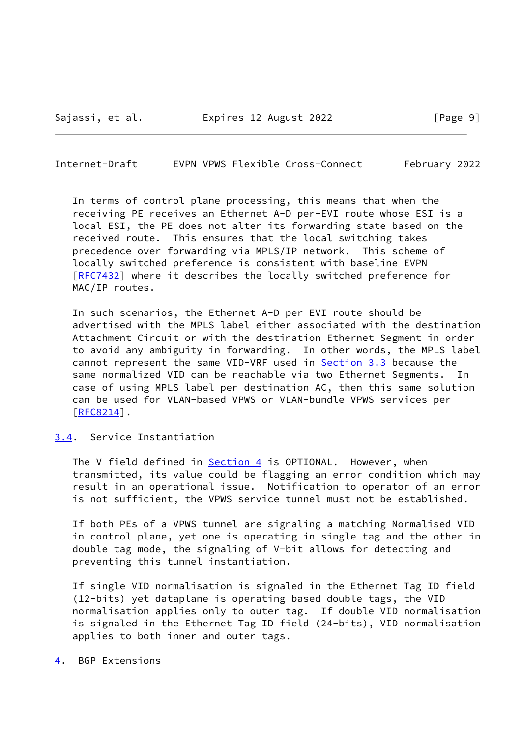<span id="page-10-1"></span>Internet-Draft EVPN VPWS Flexible Cross-Connect February 2022

 In terms of control plane processing, this means that when the receiving PE receives an Ethernet A-D per-EVI route whose ESI is a local ESI, the PE does not alter its forwarding state based on the received route. This ensures that the local switching takes precedence over forwarding via MPLS/IP network. This scheme of locally switched preference is consistent with baseline EVPN [\[RFC7432](https://datatracker.ietf.org/doc/pdf/rfc7432)] where it describes the locally switched preference for MAC/IP routes.

 In such scenarios, the Ethernet A-D per EVI route should be advertised with the MPLS label either associated with the destination Attachment Circuit or with the destination Ethernet Segment in order to avoid any ambiguity in forwarding. In other words, the MPLS label cannot represent the same VID-VRF used in [Section 3.3](#page-8-1) because the same normalized VID can be reachable via two Ethernet Segments. In case of using MPLS label per destination AC, then this same solution can be used for VLAN-based VPWS or VLAN-bundle VPWS services per [\[RFC8214](https://datatracker.ietf.org/doc/pdf/rfc8214)].

#### <span id="page-10-0"></span>[3.4](#page-10-0). Service Instantiation

The V field defined in **Section 4** is OPTIONAL. However, when transmitted, its value could be flagging an error condition which may result in an operational issue. Notification to operator of an error is not sufficient, the VPWS service tunnel must not be established.

 If both PEs of a VPWS tunnel are signaling a matching Normalised VID in control plane, yet one is operating in single tag and the other in double tag mode, the signaling of V-bit allows for detecting and preventing this tunnel instantiation.

 If single VID normalisation is signaled in the Ethernet Tag ID field (12-bits) yet dataplane is operating based double tags, the VID normalisation applies only to outer tag. If double VID normalisation is signaled in the Ethernet Tag ID field (24-bits), VID normalisation applies to both inner and outer tags.

<span id="page-10-2"></span>[4](#page-10-2). BGP Extensions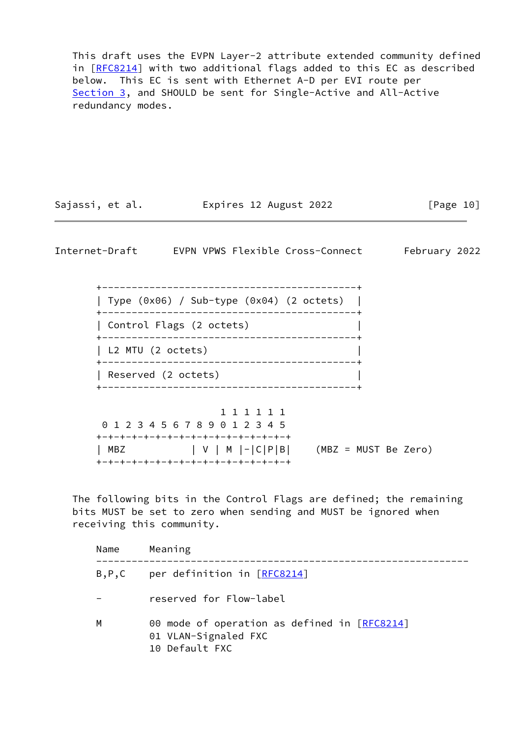This draft uses the EVPN Layer-2 attribute extended community defined in [[RFC8214\]](https://datatracker.ietf.org/doc/pdf/rfc8214) with two additional flags added to this EC as described below. This EC is sent with Ethernet A-D per EVI route per [Section 3](#page-5-0), and SHOULD be sent for Single-Active and All-Active redundancy modes.

| Sajassi, et al. | Expires 12 August 2022 | [Page 10] |
|-----------------|------------------------|-----------|
|                 |                        |           |

<span id="page-11-0"></span>Internet-Draft EVPN VPWS Flexible Cross-Connect February 2022

 +-------------------------------------------+ | Type (0x06) / Sub-type (0x04) (2 octets) | +-------------------------------------------+ | Control Flags (2 octets) | +-------------------------------------------+ | L2 MTU (2 octets) | +-------------------------------------------+ | Reserved (2 octets) | +-------------------------------------------+

|     | 1 1 1 1 1 1                         |                      |
|-----|-------------------------------------|----------------------|
|     | 0 1 2 3 4 5 6 7 8 9 0 1 2 3 4 5     |                      |
|     | +-+-+-+-+-+-+-+-+-+-+-+-+-+-+-+-+-+ |                      |
| MBZ | $  V   M   -   C   P   B  $         | (MBZ = MUST Be Zero) |
|     | +-+-+-+-+-+-+-+-+-+-+-+-+-+-+-+-+-+ |                      |

 The following bits in the Control Flags are defined; the remaining bits MUST be set to zero when sending and MUST be ignored when receiving this community.

| Name    | Meaning                                                                                |
|---------|----------------------------------------------------------------------------------------|
| B, P, C | per definition in [RFC8214]                                                            |
|         | reserved for Flow-label                                                                |
| м       | 00 mode of operation as defined in [RFC8214]<br>01 VLAN-Signaled FXC<br>10 Default FXC |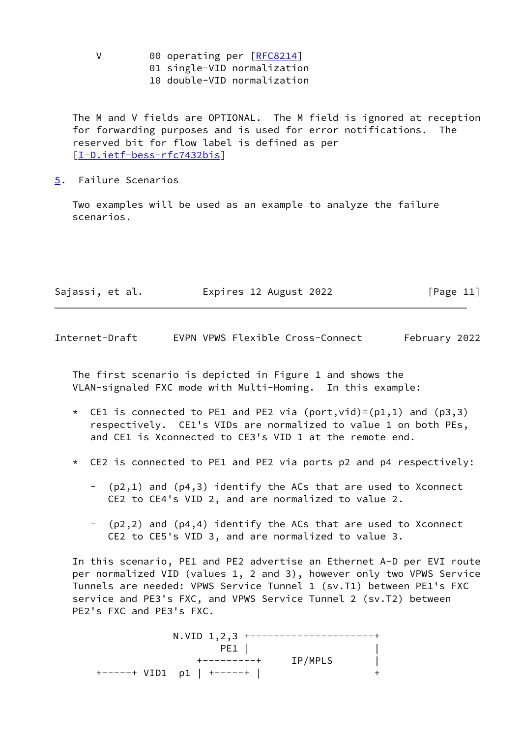- V 00 operating per [[RFC8214](https://datatracker.ietf.org/doc/pdf/rfc8214)]
	- 01 single-VID normalization
	- 10 double-VID normalization

 The M and V fields are OPTIONAL. The M field is ignored at reception for forwarding purposes and is used for error notifications. The reserved bit for flow label is defined as per [\[I-D.ietf-bess-rfc7432bis](#page-16-4)]

<span id="page-12-0"></span>[5](#page-12-0). Failure Scenarios

 Two examples will be used as an example to analyze the failure scenarios.

| Sajassi, et al. | Expires 12 August 2022 | [Page 11] |
|-----------------|------------------------|-----------|
|                 |                        |           |

Internet-Draft EVPN VPWS Flexible Cross-Connect February 2022

 The first scenario is depicted in Figure 1 and shows the VLAN-signaled FXC mode with Multi-Homing. In this example:

- \* CE1 is connected to PE1 and PE2 via (port, vid)=( $p1,1$ ) and ( $p3,3$ ) respectively. CE1's VIDs are normalized to value 1 on both PEs, and CE1 is Xconnected to CE3's VID 1 at the remote end.
- \* CE2 is connected to PE1 and PE2 via ports p2 and p4 respectively:
	- (p2,1) and (p4,3) identify the ACs that are used to Xconnect CE2 to CE4's VID 2, and are normalized to value 2.
	- (p2,2) and (p4,4) identify the ACs that are used to Xconnect CE2 to CE5's VID 3, and are normalized to value 3.

 In this scenario, PE1 and PE2 advertise an Ethernet A-D per EVI route per normalized VID (values 1, 2 and 3), however only two VPWS Service Tunnels are needed: VPWS Service Tunnel 1 (sv.T1) between PE1's FXC service and PE3's FXC, and VPWS Service Tunnel 2 (sv.T2) between PE2's FXC and PE3's FXC.

 N.VID 1,2,3 +---------------------+ PE1 | | +---------+ IP/MPLS | +-----+ VID1 p1 | +-----+ | +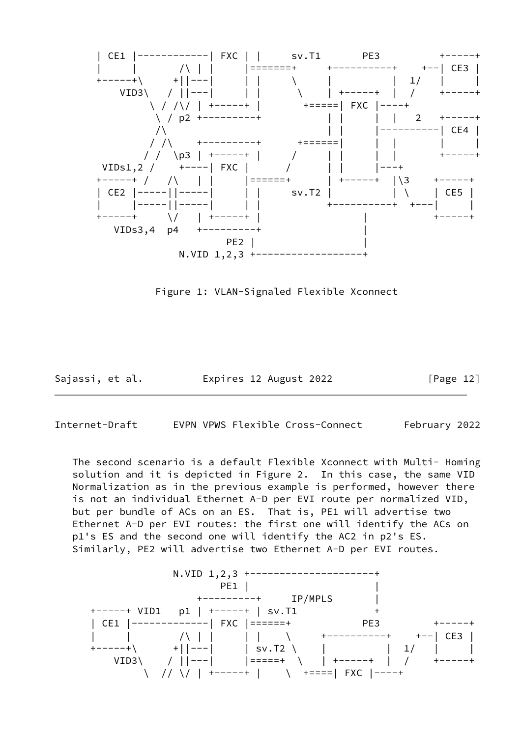

Figure 1: VLAN-Signaled Flexible Xconnect

Sajassi, et al. Expires 12 August 2022 [Page 12]

<span id="page-13-0"></span>Internet-Draft EVPN VPWS Flexible Cross-Connect February 2022

 The second scenario is a default Flexible Xconnect with Multi- Homing solution and it is depicted in Figure 2. In this case, the same VID Normalization as in the previous example is performed, however there is not an individual Ethernet A-D per EVI route per normalized VID, but per bundle of ACs on an ES. That is, PE1 will advertise two Ethernet A-D per EVI routes: the first one will identify the ACs on p1's ES and the second one will identify the AC2 in p2's ES. Similarly, PE2 will advertise two Ethernet A-D per EVI routes.

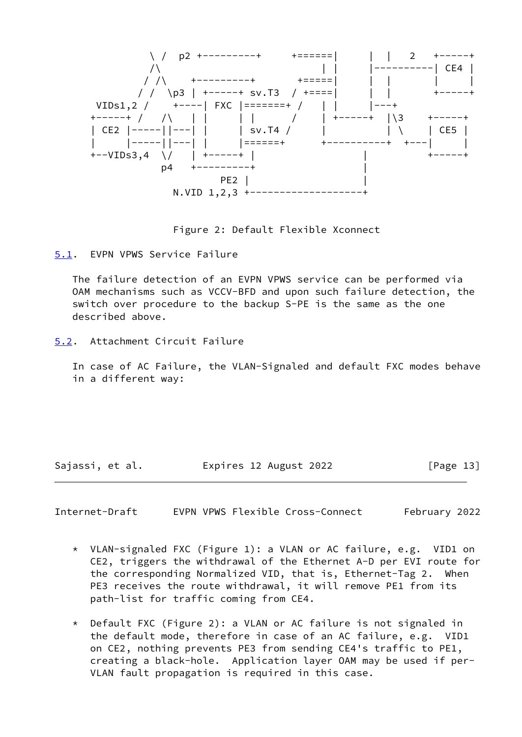

Figure 2: Default Flexible Xconnect

<span id="page-14-0"></span>[5.1](#page-14-0). EVPN VPWS Service Failure

 The failure detection of an EVPN VPWS service can be performed via OAM mechanisms such as VCCV-BFD and upon such failure detection, the switch over procedure to the backup S-PE is the same as the one described above.

<span id="page-14-1"></span>[5.2](#page-14-1). Attachment Circuit Failure

 In case of AC Failure, the VLAN-Signaled and default FXC modes behave in a different way:

Sajassi, et al. **Expires 12 August 2022** [Page 13]

<span id="page-14-2"></span>Internet-Draft EVPN VPWS Flexible Cross-Connect February 2022

- \* VLAN-signaled FXC (Figure 1): a VLAN or AC failure, e.g. VID1 on CE2, triggers the withdrawal of the Ethernet A-D per EVI route for the corresponding Normalized VID, that is, Ethernet-Tag 2. When PE3 receives the route withdrawal, it will remove PE1 from its path-list for traffic coming from CE4.
- \* Default FXC (Figure 2): a VLAN or AC failure is not signaled in the default mode, therefore in case of an AC failure, e.g. VID1 on CE2, nothing prevents PE3 from sending CE4's traffic to PE1, creating a black-hole. Application layer OAM may be used if per- VLAN fault propagation is required in this case.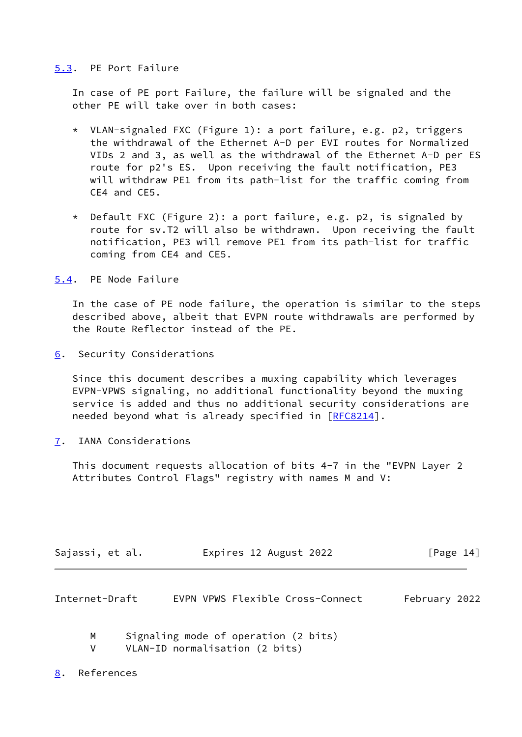### <span id="page-15-0"></span>[5.3](#page-15-0). PE Port Failure

 In case of PE port Failure, the failure will be signaled and the other PE will take over in both cases:

- \* VLAN-signaled FXC (Figure 1): a port failure, e.g. p2, triggers the withdrawal of the Ethernet A-D per EVI routes for Normalized VIDs 2 and 3, as well as the withdrawal of the Ethernet A-D per ES route for p2's ES. Upon receiving the fault notification, PE3 will withdraw PE1 from its path-list for the traffic coming from CE4 and CE5.
- \* Default FXC (Figure 2): a port failure, e.g. p2, is signaled by route for sv.T2 will also be withdrawn. Upon receiving the fault notification, PE3 will remove PE1 from its path-list for traffic coming from CE4 and CE5.

<span id="page-15-1"></span>[5.4](#page-15-1). PE Node Failure

 In the case of PE node failure, the operation is similar to the steps described above, albeit that EVPN route withdrawals are performed by the Route Reflector instead of the PE.

<span id="page-15-2"></span>[6](#page-15-2). Security Considerations

 Since this document describes a muxing capability which leverages EVPN-VPWS signaling, no additional functionality beyond the muxing service is added and thus no additional security considerations are needed beyond what is already specified in [[RFC8214\]](https://datatracker.ietf.org/doc/pdf/rfc8214).

<span id="page-15-3"></span>[7](#page-15-3). IANA Considerations

 This document requests allocation of bits 4-7 in the "EVPN Layer 2 Attributes Control Flags" registry with names M and V:

| Sajassi, et al. | Expires 12 August 2022 | [Page 14] |
|-----------------|------------------------|-----------|
|                 |                        |           |

<span id="page-15-5"></span>

| Internet-Draft |  |  | EVPN VPWS Flexible Cross-Connect | February 2022 |  |
|----------------|--|--|----------------------------------|---------------|--|
|----------------|--|--|----------------------------------|---------------|--|

- M Signaling mode of operation (2 bits)
- V VLAN-ID normalisation (2 bits)

<span id="page-15-4"></span>[8](#page-15-4). References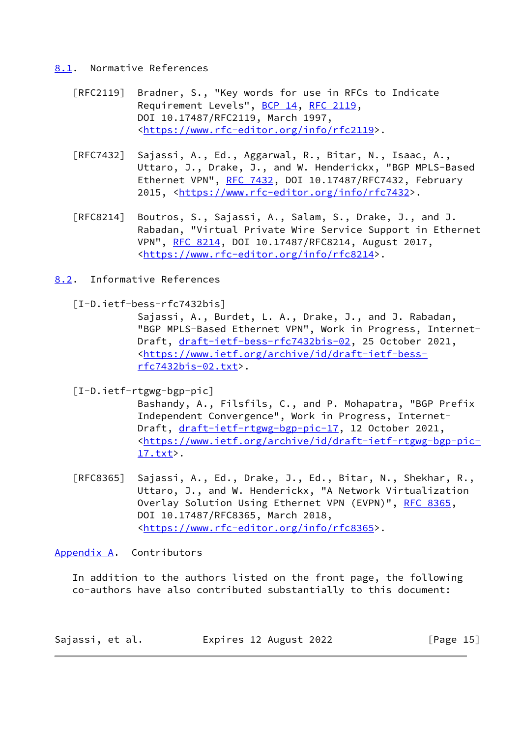#### <span id="page-16-0"></span>[8.1](#page-16-0). Normative References

- [RFC2119] Bradner, S., "Key words for use in RFCs to Indicate Requirement Levels", [BCP 14](https://datatracker.ietf.org/doc/pdf/bcp14), [RFC 2119](https://datatracker.ietf.org/doc/pdf/rfc2119), DOI 10.17487/RFC2119, March 1997, <[https://www.rfc-editor.org/info/rfc2119>](https://www.rfc-editor.org/info/rfc2119).
- [RFC7432] Sajassi, A., Ed., Aggarwal, R., Bitar, N., Isaac, A., Uttaro, J., Drake, J., and W. Henderickx, "BGP MPLS-Based Ethernet VPN", [RFC 7432](https://datatracker.ietf.org/doc/pdf/rfc7432), DOI 10.17487/RFC7432, February 2015, [<https://www.rfc-editor.org/info/rfc7432](https://www.rfc-editor.org/info/rfc7432)>.
- [RFC8214] Boutros, S., Sajassi, A., Salam, S., Drake, J., and J. Rabadan, "Virtual Private Wire Service Support in Ethernet VPN", [RFC 8214](https://datatracker.ietf.org/doc/pdf/rfc8214), DOI 10.17487/RFC8214, August 2017, <[https://www.rfc-editor.org/info/rfc8214>](https://www.rfc-editor.org/info/rfc8214).
- <span id="page-16-1"></span>[8.2](#page-16-1). Informative References

<span id="page-16-4"></span>[I-D.ietf-bess-rfc7432bis]

 Sajassi, A., Burdet, L. A., Drake, J., and J. Rabadan, "BGP MPLS-Based Ethernet VPN", Work in Progress, Internet Draft, [draft-ietf-bess-rfc7432bis-02,](https://datatracker.ietf.org/doc/pdf/draft-ietf-bess-rfc7432bis-02) 25 October 2021, <[https://www.ietf.org/archive/id/draft-ietf-bess](https://www.ietf.org/archive/id/draft-ietf-bess-rfc7432bis-02.txt) [rfc7432bis-02.txt>](https://www.ietf.org/archive/id/draft-ietf-bess-rfc7432bis-02.txt).

<span id="page-16-3"></span>[I-D.ietf-rtgwg-bgp-pic]

 Bashandy, A., Filsfils, C., and P. Mohapatra, "BGP Prefix Independent Convergence", Work in Progress, Internet Draft, [draft-ietf-rtgwg-bgp-pic-17](https://datatracker.ietf.org/doc/pdf/draft-ietf-rtgwg-bgp-pic-17), 12 October 2021, <[https://www.ietf.org/archive/id/draft-ietf-rtgwg-bgp-pic-](https://www.ietf.org/archive/id/draft-ietf-rtgwg-bgp-pic-17.txt) [17.txt](https://www.ietf.org/archive/id/draft-ietf-rtgwg-bgp-pic-17.txt)>.

 [RFC8365] Sajassi, A., Ed., Drake, J., Ed., Bitar, N., Shekhar, R., Uttaro, J., and W. Henderickx, "A Network Virtualization Overlay Solution Using Ethernet VPN (EVPN)", [RFC 8365](https://datatracker.ietf.org/doc/pdf/rfc8365), DOI 10.17487/RFC8365, March 2018, <[https://www.rfc-editor.org/info/rfc8365>](https://www.rfc-editor.org/info/rfc8365).

# <span id="page-16-2"></span>[Appendix A.](#page-16-2) Contributors

 In addition to the authors listed on the front page, the following co-authors have also contributed substantially to this document:

| Sajassi, et al. | Expires 12 August 2022 | [Page $15$ ] |
|-----------------|------------------------|--------------|
|-----------------|------------------------|--------------|